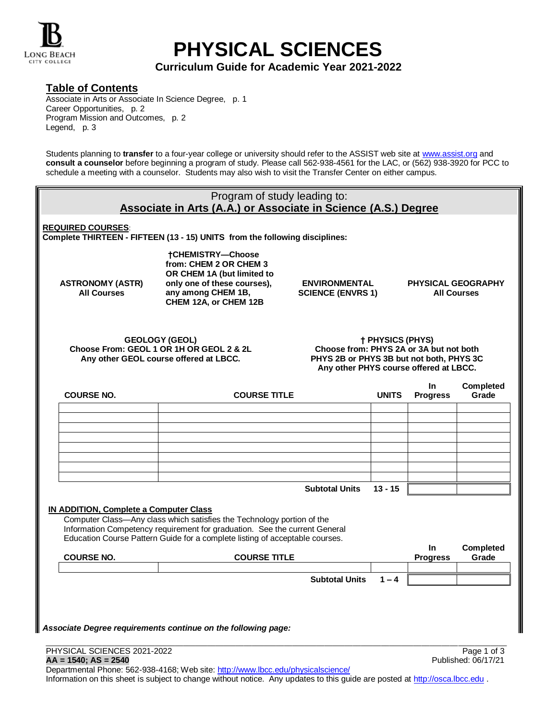

# **PHYSICAL SCIENCES**

**Curriculum Guide for Academic Year 2021-2022**

## **Table of Contents**

Associate in Arts or Associate In Science Degree, p. 1 Career Opportunities, p. 2 Program Mission and Outcomes, p. 2 Legend, p. 3

Students planning to **transfer** to a four-year college or university should refer to the ASSIST web site at [www.assist.org](http://www.assist.org/) and **consult a counselor** before beginning a program of study. Please call 562-938-4561 for the LAC, or (562) 938-3920 for PCC to schedule a meeting with a counselor. Students may also wish to visit the Transfer Center on either campus.

| Program of study leading to:<br>Associate in Arts (A.A.) or Associate in Science (A.S.) Degree                                                                                                                                       |                                                                                                                                                                                                                    |                       |           |                              |                                                 |  |  |  |  |  |
|--------------------------------------------------------------------------------------------------------------------------------------------------------------------------------------------------------------------------------------|--------------------------------------------------------------------------------------------------------------------------------------------------------------------------------------------------------------------|-----------------------|-----------|------------------------------|-------------------------------------------------|--|--|--|--|--|
| <b>REQUIRED COURSES:</b><br>Complete THIRTEEN - FIFTEEN (13 - 15) UNITS from the following disciplines:                                                                                                                              |                                                                                                                                                                                                                    |                       |           |                              |                                                 |  |  |  |  |  |
| <b>ASTRONOMY (ASTR)</b><br><b>All Courses</b>                                                                                                                                                                                        | <b>†CHEMISTRY-Choose</b><br>from: CHEM 2 OR CHEM 3<br>OR CHEM 1A (but limited to<br>only one of these courses),<br><b>ENVIRONMENTAL</b><br>any among CHEM 1B,<br><b>SCIENCE (ENVRS 1)</b><br>CHEM 12A, or CHEM 12B |                       |           |                              | <b>PHYSICAL GEOGRAPHY</b><br><b>All Courses</b> |  |  |  |  |  |
| <b>GEOLOGY (GEOL)</b><br>Choose From: GEOL 1 OR 1H OR GEOL 2 & 2L<br>Any other GEOL course offered at LBCC.                                                                                                                          | † PHYSICS (PHYS)<br>Choose from: PHYS 2A or 3A but not both<br>PHYS 2B or PHYS 3B but not both, PHYS 3C<br>Any other PHYS course offered at LBCC.                                                                  |                       |           |                              |                                                 |  |  |  |  |  |
| <b>COURSE NO.</b>                                                                                                                                                                                                                    | <b>COURSE TITLE</b>                                                                                                                                                                                                |                       |           | <b>In</b><br><b>Progress</b> | Completed<br>Grade                              |  |  |  |  |  |
|                                                                                                                                                                                                                                      |                                                                                                                                                                                                                    |                       |           |                              |                                                 |  |  |  |  |  |
|                                                                                                                                                                                                                                      |                                                                                                                                                                                                                    |                       |           |                              |                                                 |  |  |  |  |  |
|                                                                                                                                                                                                                                      |                                                                                                                                                                                                                    |                       |           |                              |                                                 |  |  |  |  |  |
|                                                                                                                                                                                                                                      |                                                                                                                                                                                                                    |                       |           |                              |                                                 |  |  |  |  |  |
|                                                                                                                                                                                                                                      |                                                                                                                                                                                                                    | <b>Subtotal Units</b> | $13 - 15$ |                              |                                                 |  |  |  |  |  |
| IN ADDITION, Complete a Computer Class                                                                                                                                                                                               |                                                                                                                                                                                                                    |                       |           |                              |                                                 |  |  |  |  |  |
| Computer Class-Any class which satisfies the Technology portion of the<br>Information Competency requirement for graduation. See the current General<br>Education Course Pattern Guide for a complete listing of acceptable courses. |                                                                                                                                                                                                                    |                       |           |                              |                                                 |  |  |  |  |  |
| <b>COURSE NO.</b>                                                                                                                                                                                                                    | <b>COURSE TITLE</b>                                                                                                                                                                                                |                       |           | <b>In</b><br><b>Progress</b> | <b>Completed</b><br>Grade                       |  |  |  |  |  |
|                                                                                                                                                                                                                                      |                                                                                                                                                                                                                    | <b>Subtotal Units</b> | $1 - 4$   |                              |                                                 |  |  |  |  |  |
|                                                                                                                                                                                                                                      |                                                                                                                                                                                                                    |                       |           |                              |                                                 |  |  |  |  |  |
|                                                                                                                                                                                                                                      |                                                                                                                                                                                                                    |                       |           |                              |                                                 |  |  |  |  |  |
| Associate Degree requirements continue on the following page:                                                                                                                                                                        |                                                                                                                                                                                                                    |                       |           |                              |                                                 |  |  |  |  |  |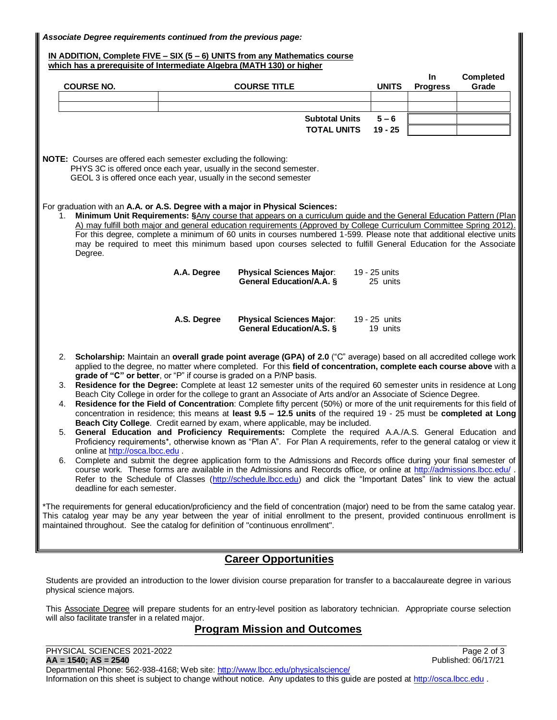*Associate Degree requirements continued from the previous page:*

**IN ADDITION, Complete FIVE – SIX (5 – 6) UNITS from any Mathematics course which has a prerequisite of Intermediate Algebra (MATH 130) or higher**

|                                                                                                                                                                                                                                                                                                                        | <b>COURSE NO.</b>                                                                                                                                                                                                                                     |             | <b>COURSE TITLE</b>                                                                                                                                                                                                               |  | <b>UNITS</b>              | In<br><b>Progress</b> | Completed<br>Grade |  |  |  |
|------------------------------------------------------------------------------------------------------------------------------------------------------------------------------------------------------------------------------------------------------------------------------------------------------------------------|-------------------------------------------------------------------------------------------------------------------------------------------------------------------------------------------------------------------------------------------------------|-------------|-----------------------------------------------------------------------------------------------------------------------------------------------------------------------------------------------------------------------------------|--|---------------------------|-----------------------|--------------------|--|--|--|
|                                                                                                                                                                                                                                                                                                                        |                                                                                                                                                                                                                                                       |             |                                                                                                                                                                                                                                   |  |                           |                       |                    |  |  |  |
|                                                                                                                                                                                                                                                                                                                        |                                                                                                                                                                                                                                                       |             | <b>Subtotal Units</b>                                                                                                                                                                                                             |  | $5 - 6$                   |                       |                    |  |  |  |
|                                                                                                                                                                                                                                                                                                                        |                                                                                                                                                                                                                                                       |             | <b>TOTAL UNITS</b>                                                                                                                                                                                                                |  | $19 - 25$                 |                       |                    |  |  |  |
|                                                                                                                                                                                                                                                                                                                        |                                                                                                                                                                                                                                                       |             |                                                                                                                                                                                                                                   |  |                           |                       |                    |  |  |  |
| NOTE: Courses are offered each semester excluding the following:<br>PHYS 3C is offered once each year, usually in the second semester.<br>GEOL 3 is offered once each year, usually in the second semester                                                                                                             |                                                                                                                                                                                                                                                       |             |                                                                                                                                                                                                                                   |  |                           |                       |                    |  |  |  |
| For graduation with an A.A. or A.S. Degree with a major in Physical Sciences:                                                                                                                                                                                                                                          |                                                                                                                                                                                                                                                       |             |                                                                                                                                                                                                                                   |  |                           |                       |                    |  |  |  |
| Minimum Unit Requirements: §Any course that appears on a curriculum guide and the General Education Pattern (Plan                                                                                                                                                                                                      |                                                                                                                                                                                                                                                       |             |                                                                                                                                                                                                                                   |  |                           |                       |                    |  |  |  |
| A) may fulfill both major and general education requirements (Approved by College Curriculum Committee Spring 2012).<br>For this degree, complete a minimum of 60 units in courses numbered 1-599. Please note that additional elective units                                                                          |                                                                                                                                                                                                                                                       |             |                                                                                                                                                                                                                                   |  |                           |                       |                    |  |  |  |
| may be required to meet this minimum based upon courses selected to fulfill General Education for the Associate<br>Degree.                                                                                                                                                                                             |                                                                                                                                                                                                                                                       |             |                                                                                                                                                                                                                                   |  |                           |                       |                    |  |  |  |
|                                                                                                                                                                                                                                                                                                                        |                                                                                                                                                                                                                                                       | A.A. Degree | <b>Physical Sciences Major:</b>                                                                                                                                                                                                   |  | 19 - 25 units             |                       |                    |  |  |  |
|                                                                                                                                                                                                                                                                                                                        |                                                                                                                                                                                                                                                       |             | General Education/A.A. §                                                                                                                                                                                                          |  | 25 units                  |                       |                    |  |  |  |
|                                                                                                                                                                                                                                                                                                                        |                                                                                                                                                                                                                                                       | A.S. Degree | <b>Physical Sciences Major:</b><br>General Education/A.S. §                                                                                                                                                                       |  | 19 - 25 units<br>19 units |                       |                    |  |  |  |
| 2. Scholarship: Maintain an overall grade point average (GPA) of 2.0 ("C" average) based on all accredited college work<br>applied to the degree, no matter where completed. For this field of concentration, complete each course above with a<br>grade of "C" or better, or "P" if course is graded on a P/NP basis. |                                                                                                                                                                                                                                                       |             |                                                                                                                                                                                                                                   |  |                           |                       |                    |  |  |  |
|                                                                                                                                                                                                                                                                                                                        |                                                                                                                                                                                                                                                       |             | 3. Residence for the Degree: Complete at least 12 semester units of the required 60 semester units in residence at Long                                                                                                           |  |                           |                       |                    |  |  |  |
|                                                                                                                                                                                                                                                                                                                        | Beach City College in order for the college to grant an Associate of Arts and/or an Associate of Science Degree.                                                                                                                                      |             |                                                                                                                                                                                                                                   |  |                           |                       |                    |  |  |  |
|                                                                                                                                                                                                                                                                                                                        | Residence for the Field of Concentration: Complete fifty percent (50%) or more of the unit requirements for this field of<br>4.<br>concentration in residence; this means at least 9.5 - 12.5 units of the required 19 - 25 must be completed at Long |             |                                                                                                                                                                                                                                   |  |                           |                       |                    |  |  |  |
|                                                                                                                                                                                                                                                                                                                        |                                                                                                                                                                                                                                                       |             | Beach City College. Credit earned by exam, where applicable, may be included.                                                                                                                                                     |  |                           |                       |                    |  |  |  |
|                                                                                                                                                                                                                                                                                                                        | 5.                                                                                                                                                                                                                                                    |             | General Education and Proficiency Requirements: Complete the required A.A./A.S. General Education and<br>Proficiency requirements*, otherwise known as "Plan A". For Plan A requirements, refer to the general catalog or view it |  |                           |                       |                    |  |  |  |
|                                                                                                                                                                                                                                                                                                                        | online at http://osca.lbcc.edu.                                                                                                                                                                                                                       |             |                                                                                                                                                                                                                                   |  |                           |                       |                    |  |  |  |
|                                                                                                                                                                                                                                                                                                                        | 6.                                                                                                                                                                                                                                                    |             | Complete and submit the degree application form to the Admissions and Records office during your final semester of                                                                                                                |  |                           |                       |                    |  |  |  |

course work. These forms are available in the Admissions and Records office, or online at<http://admissions.lbcc.edu/> Refer to the Schedule of Classes [\(http://schedule.lbcc.edu\)](http://schedule.lbcc.edu/) and click the "Important Dates" link to view the actual deadline for each semester.

\*The requirements for general education/proficiency and the field of concentration (major) need to be from the same catalog year. This catalog year may be any year between the year of initial enrollment to the present, provided continuous enrollment is maintained throughout. See the catalog for definition of "continuous enrollment".

### **Career Opportunities**

Students are provided an introduction to the lower division course preparation for transfer to a baccalaureate degree in various physical science majors.

This Associate Degree will prepare students for an entry-level position as laboratory technician. Appropriate course selection will also facilitate transfer in a related major.

#### \_\_\_\_\_\_\_\_\_\_\_\_\_\_\_\_\_\_\_\_\_\_\_\_\_\_\_\_\_\_\_\_\_\_\_\_\_\_\_\_\_\_\_\_\_\_\_\_\_\_\_\_\_\_\_\_\_\_\_\_\_\_\_\_\_\_\_\_\_\_\_\_\_\_\_\_\_\_\_\_\_\_\_\_\_\_\_\_\_\_\_\_\_\_\_\_\_\_\_\_\_\_\_\_\_\_\_\_\_\_\_\_\_\_ **Program Mission and Outcomes**

PHYSICAL SCIENCES 2021-2022<br> **AA = 1540; AS = 2540**<br>
Published: 06/17/21 **AA = 1540; AS = 2540** Departmental Phone: 562-938-4168; Web site:<http://www.lbcc.edu/physicalscience/> Information on this sheet is subject to change without notice. Any updates to this guide are posted a[t http://osca.lbcc.edu](http://osca.lbcc.edu/) .